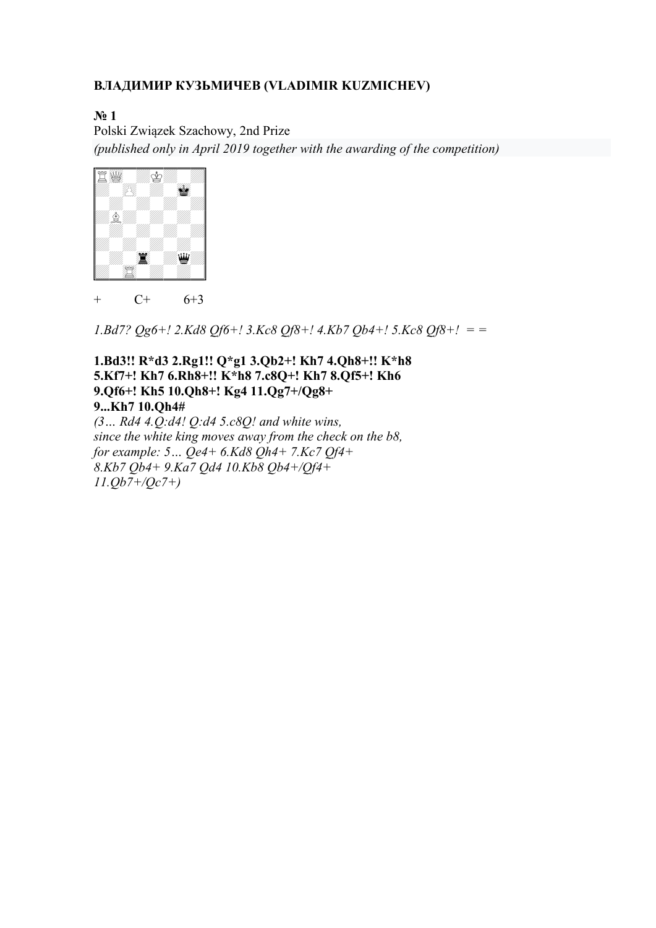### ВЛАДИМИР КУЗЬМИЧЕВ (VLADIMIR KUZMICHEV)

N<sub>2</sub> 1

Polski Związek Szachowy, 2nd Prize (published only in April 2019 together with the awarding of the competition)



+  $C+ 6+3$ 

1.Bd7?  $Qg6+$ ! 2.Kd8  $Qf6+$ ! 3.Kc8  $Qf8+$ ! 4.Kb7  $Qb4+$ ! 5.Kc8  $Qf8+$ ! = =

#### 1.Bd3!! R\*d3 2.Rg1!! Q\*g1 3.Qb2+! Kh7 4.Qh8+!! K\*h8 5.Kf7+! Kh7 6.Rh8+!! K\*h8 7.c8Q+! Kh7 8.Qf5+! Kh6 9.Qf6+! Kh5 10.Qh8+! Kg4 11.Qg7+/Qg8+ 9...Kh7 10.Qh4#

 $(3...$  Rd4 4.Q:d4! Q:d4 5.c8Q! and white wins, since the white king moves away from the check on the b8, for example:  $5...$  Qe4+  $6.$ Kd8 Qh4+  $7.$ Kc $7$  Qf4+ 8.Kb7 Qb4+ 9.Ka7 Qd4 10.Kb8 Qb4+/Qf4+ 11.Qb7+/Qc7+)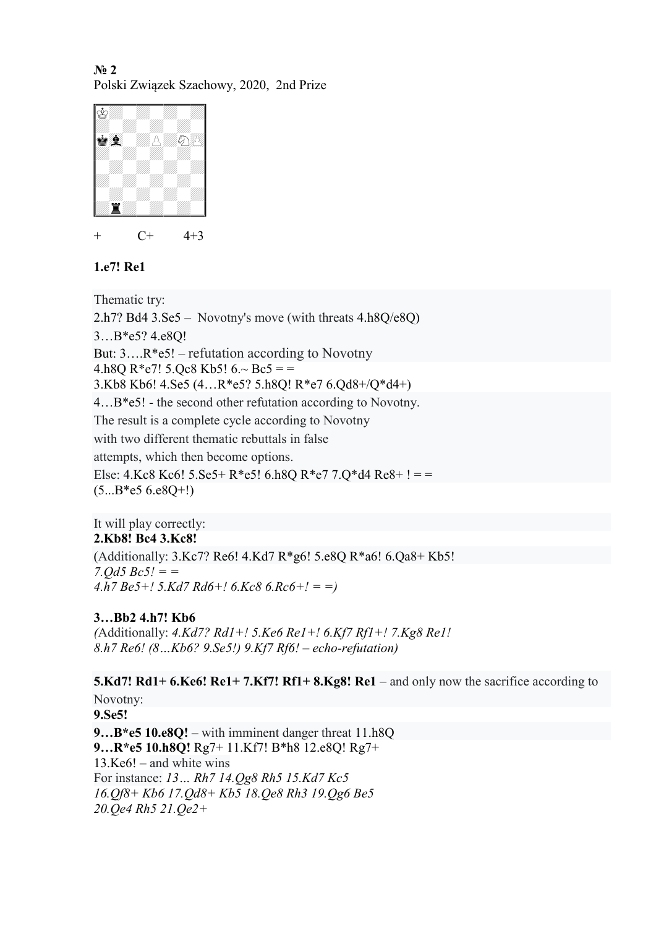No 2 Polski Związek Szachowy, 2020, 2nd Prize



 $C+ 4+3$ 

#### 1.e7! Re1

Thematic try: 2.h7? Bd4 3.Se5 – Novotny's move (with threats 4.h8Q/e8Q) 3…B\*e5? 4.e8Q! But:  $3...R*e5!$  – refutation according to Novotny 4.h8O R\*e7! 5.Oc8 Kb5!  $6 \sim$  Bc5 = = 3.Kb8 Kb6! 4.Se5 (4…R\*e5? 5.h8Q! R\*e7 6.Qd8+/Q\*d4+) 4…B\*e5! - the second other refutation according to Novotny. The result is a complete cycle according to Novotny with two different thematic rebuttals in false attempts, which then become options. Else: 4.Kc8 Kc6! 5.Se5+ R\*e5! 6.h8Q R\*e7 7.Q\*d4 Re8+ ! = =  $(5...B*e5 6.e8Q+!)$ 

It will play correctly: 2.Kb8! Bc4 3.Kc8!

(Additionally: 3.Kc7? Re6! 4.Kd7 R\*g6! 5.e8Q R\*a6! 6.Qa8+ Kb5! 7.*Od5*  $Be5! =$  $4.h7 Be5+! 5.Kd7 Rd6+! 6.Kc8 6.Rc6+! = )$ 

### 3…Bb2 4.h7! Kb6

(Additionally: 4.Kd7? Rd1+! 5.Ke6 Re1+! 6.Kf7 Rf1+! 7.Kg8 Re1!) 8.h7 Re6! (8…Kb6? 9.Se5!) 9.Kf7 Rf6! – echo-refutation)

## 5.Kd7! Rd1+ 6.Ke6! Re1+ 7.Kf7! Rf1+ 8.Kg8! Re1 – and only now the sacrifice according to Novotny:

9.Se5!

9...B\*e5 10.e8Q! – with imminent danger threat 11.h8Q 9…R\*e5 10.h8Q! Rg7+ 11.Kf7! B\*h8 12.e8Q! Rg7+ 13.Ke6! – and white wins For instance: 13… Rh7 14.Qg8 Rh5 15.Kd7 Kc5 16.Qf8+ Kb6 17.Qd8+ Kb5 18.Qe8 Rh3 19.Qg6 Be5 20.Qe4 Rh5 21.Qe2+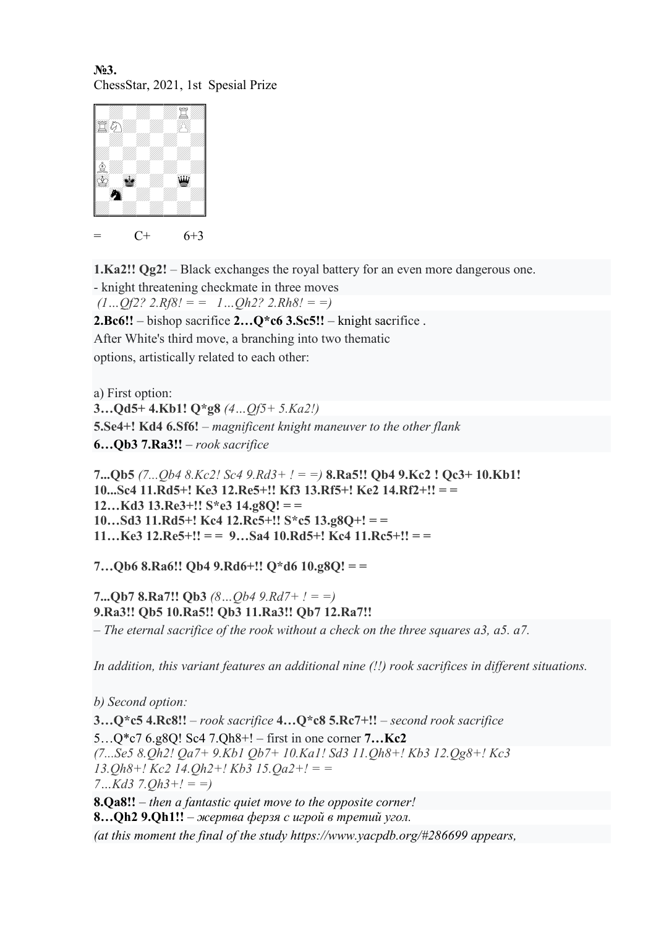No.3. ChessStar, 2021, 1st Spesial Prize



 $= C+ 6+3$ 

1.Ka2!! Qg2! – Black exchanges the royal battery for an even more dangerous one.

- knight threatening checkmate in three moves  $(1...Qf2? 2.Rf8! = 1...Qh2? 2.Rh8! = 1)$ **2.Bc6!!** – bishop sacrifice  $2...Q$ <sup>\*</sup>c6 3.Sc5!! – knight sacrifice.

After White's third move, a branching into two thematic options, artistically related to each other:

a) First option:  $3...$ Qd5+ 4.Kb1! Q\*g8  $(4...0f5+5.Ka2!)$ 5.Se4+! Kd4 6.Sf6! – magnificent knight maneuver to the other flank 6... $Ob3 7.Ra3!!$  – rook sacrifice

7... $Qb5$  (7... $Qb4$  8.Kc2! Sc4 9.Rd3+ ! = =) **8.Ra5!!** Qb4 9.Kc2 ! Qc3+ 10.Kb1! 10...Sc4 11.Rd5+! Ke3 12.Re5+!! Kf3 13.Rf5+! Ke2 14.Rf2+!! = =  $12...Kd3$  13.Re3+!! S\*e3 14.g8Q! = =  $10...Sd3$  11.Rd5+! Kc4 12.Rc5+!! S\*c5 13.g8Q+! = =  $11...$ Ke3  $12.$ Re5+!! = = 9...Sa4  $10.$ Rd5+! Kc4  $11.$ Rc5+!! = =

7…Qb6 8.Ra6!! Qb4 9.Rd6+!! Q\*d6 10.g8Q! = =

7... $Qb7 8.Ra7!!$   $Qb3 (8...$  $Qb4 9.Rd7+$   $! = =)$ 9.Ra3!! Qb5 10.Ra5!! Qb3 11.Ra3!! Qb7 12.Ra7!! – The eternal sacrifice of the rook without a check on the three squares a3, a5. a7.

In addition, this variant features an additional nine (!!) rook sacrifices in different situations.

b) Second option: 3... $Q$ \*c5 4.Rc8!! – rook sacrifice  $4...Q$ \*c8 5.Rc7+!! – second rook sacrifice 5…Q\*c7 6.g8Q! Sc4 7.Qh8+! – first in one corner 7…Kc2 (7...Se5 8.Qh2! Qa7+ 9.Kb1 Qb7+ 10.Ka1! Sd3 11.Qh8+! Kb3 12.Qg8+! Kc3  $13.Oh8 + ! Kc2 14. Oh2 + ! Kb3 15. Oa2 + ! =$  $7...Kd3$   $7.Oh3+1 = )$ 8. $Oa8!!$  – then a fantastic quiet move to the opposite corner! 8... $Qh2$  9. $Qh1!!$  – жертва ферзя с игрой в третий угол.

(at this moment the final of the study https://www.yacpdb.org/#286699 appears,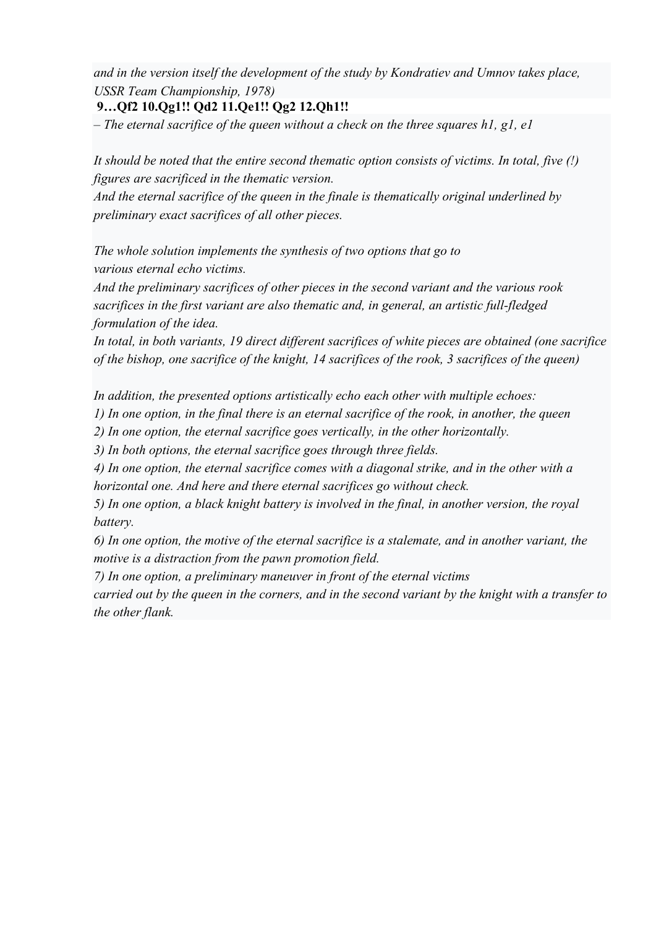and in the version itself the development of the study by Kondratiev and Umnov takes place, USSR Team Championship, 1978)

#### 9…Qf2 10.Qg1!! Qd2 11.Qe1!! Qg2 12.Qh1!!

– The eternal sacrifice of the queen without a check on the three squares  $h1$ ,  $g1$ ,  $e1$ 

It should be noted that the entire second thematic option consists of victims. In total, five (!) figures are sacrificed in the thematic version.

And the eternal sacrifice of the queen in the finale is thematically original underlined by preliminary exact sacrifices of all other pieces.

The whole solution implements the synthesis of two options that go to various eternal echo victims.

And the preliminary sacrifices of other pieces in the second variant and the various rook sacrifices in the first variant are also thematic and, in general, an artistic full-fledged formulation of the idea.

In total, in both variants, 19 direct different sacrifices of white pieces are obtained (one sacrifice of the bishop, one sacrifice of the knight, 14 sacrifices of the rook, 3 sacrifices of the queen)

In addition, the presented options artistically echo each other with multiple echoes:

1) In one option, in the final there is an eternal sacrifice of the rook, in another, the queen

2) In one option, the eternal sacrifice goes vertically, in the other horizontally.

3) In both options, the eternal sacrifice goes through three fields.

4) In one option, the eternal sacrifice comes with a diagonal strike, and in the other with a horizontal one. And here and there eternal sacrifices go without check.

5) In one option, a black knight battery is involved in the final, in another version, the royal battery.

6) In one option, the motive of the eternal sacrifice is a stalemate, and in another variant, the motive is a distraction from the pawn promotion field.

7) In one option, a preliminary maneuver in front of the eternal victims

carried out by the queen in the corners, and in the second variant by the knight with a transfer to the other flank.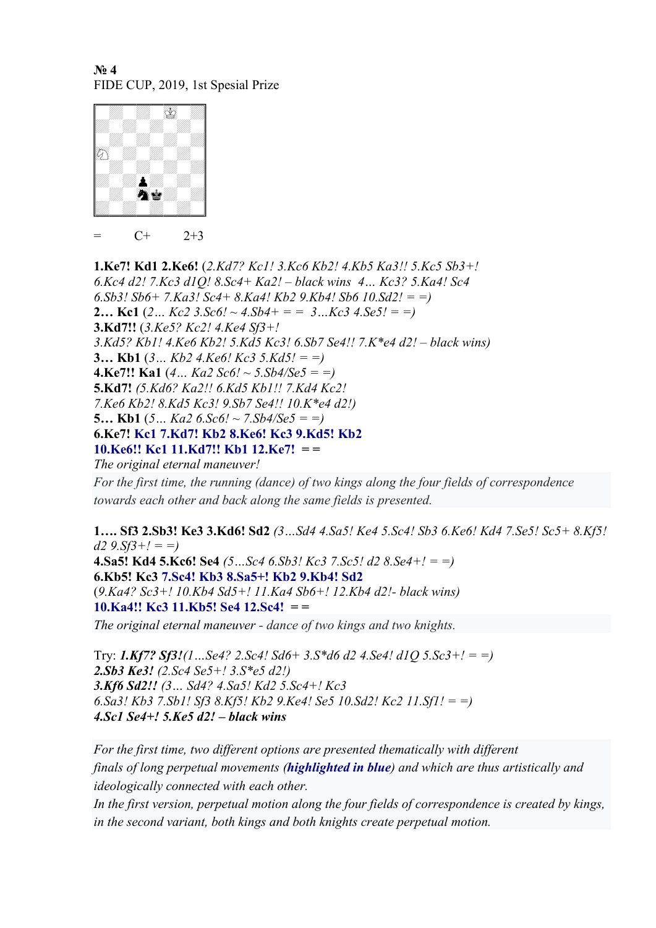N<sub>o</sub> 4 FIDE CUP, 2019, 1st Spesial Prize



 $= C+ 2+3$ 

1.Ke7! Kd1 2.Ke6! (2.Kd7? Kc1! 3.Kc6 Kb2! 4.Kb5 Ka3!! 5.Kc5 Sb3+! 6.Kc4 d2! 7.Kc3 d1Q! 8.Sc4+ Ka2! – black wins 4… Kc3? 5.Ka4! Sc4 6.Sb3! Sb6+ 7.Ka3! Sc4+ 8.Ka4! Kb2 9.Kb4! Sb6  $10.$ Sd2! = =) **2...** Kc1 (2... Kc2 3.Sc6! ~ 4.Sb4+ = = 3...Kc3 4.Se5! = =) 3.Kd7!! (3.Ke5? Kc2! 4.Ke4 Sf3+! 3.Kd5? Kb1! 4.Ke6 Kb2! 5.Kd5 Kc3! 6.Sb7 Se4!! 7.K\*e4 d2! – black wins) 3... Kb1  $(3...$  Kb2  $4.$ Ke6! Kc3  $5.$ Kd $5! = =$ ) 4.Ke7!! Ka1  $(4...$  Ka2 Sc6! ~ 5.Sb4/Se5 = =) 5.Kd7! (5.Kd6? Ka2!! 6.Kd5 Kb1!! 7.Kd4 Kc2! 7.Ke6 Kb2! 8.Kd5 Kc3! 9.Sb7 Se4!! 10.K\*e4 d2!) 5... Kb1  $(5...$  Ka2  $6.5c6! \sim 7.5b4/5e5 = )$ 6.Ke7! Kc1 7.Kd7! Kb2 8.Ke6! Kc3 9.Kd5! Kb2 10.Ke6!! Kc1 11.Kd7!! Kb1 12.Ke7! = = The original eternal maneuver!

For the first time, the running (dance) of two kings along the four fields of correspondence towards each other and back along the same fields is presented.

1…. Sf3 2.Sb3! Ke3 3.Kd6! Sd2 (3…Sd4 4.Sa5! Ke4 5.Sc4! Sb3 6.Ke6! Kd4 7.Se5! Sc5+ 8.Kf5!  $d2 9.5f3+1 = )$ **4.Sa5! Kd4 5.Kc6! Se4** (5...Sc4 6.Sb3! Kc3 7.Sc5! d2 8.Se4+! = =) 6.Kb5! Kc3 7.Sc4! Kb3 8.Sa5+! Kb2 9.Kb4! Sd2  $(9. Ka4? Sc3+.10.Kb4 Sd5+.11.Ka4 Sb6+.12.Kb4 d2.5 black wins)$ 10.Ka4!! Kc3 11.Kb5! Se4 12.Sc4! = = The original eternal maneuver - dance of two kings and two knights.

Try: 1.Kf7? Sf3!(1...Se4? 2.Sc4! Sd6+ 3.S\*d6 d2 4.Se4! d1O 5.Sc3+! = =) 2.Sb3 Ke3! (2.Sc4 Se5+! 3.S\*e5 d2!) 3.Kf6 Sd2!! (3… Sd4? 4.Sa5! Kd2 5.Sc4+! Kc3 6.Sa3! Kb3 7.Sb1! Sf3 8.Kf5! Kb2 9.Ke4! Se5 10.Sd2! Kc2 11.Sf1! = =) 4.Sc1 Se4+!  $5.$ Ke5 d2! – black wins

For the first time, two different options are presented thematically with different finals of long perpetual movements (**highlighted in blue**) and which are thus artistically and ideologically connected with each other.

In the first version, perpetual motion along the four fields of correspondence is created by kings, in the second variant, both kings and both knights create perpetual motion.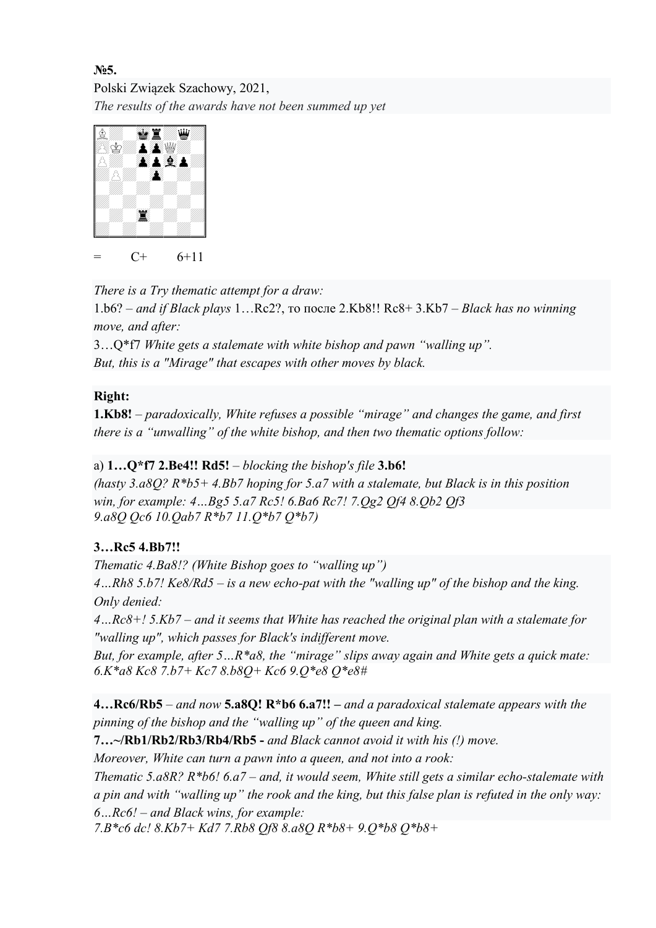## №5. Polski Związek Szachowy, 2021, The results of the awards have not been summed up yet



 $=$  C+ 6+11

There is a Try thematic attempt for a draw:

1.b6? – and if Black plays 1…Rc2?, то после 2.Kb8!! Rc8+ 3.Kb7 – Black has no winning move, and after:

3…Q\*f7 White gets a stalemate with white bishop and pawn "walling up". But, this is a "Mirage" that escapes with other moves by black.

## Right:

**1.Kb8!** – paradoxically, White refuses a possible "mirage" and changes the game, and first there is a "unwalling" of the white bishop, and then two thematic options follow:

# a)  $1...O*f7$  2.Be4!! Rd5! – blocking the bishop's file 3.b6!

(hasty 3.a8Q?  $R* b5+4. Bb7$  hoping for 5.a7 with a stalemate, but Black is in this position win, for example: 4…Bg5 5.a7 Rc5! 6.Ba6 Rc7! 7.Qg2 Qf4 8.Qb2 Qf3 9.a8Q Qc6 10.Qab7 R\*b7 11.Q\*b7 Q\*b7)

# 3…Rc5 4.Bb7!!

Thematic 4.Ba8!? (White Bishop goes to "walling up")

4…Rh8 5.b7! Ke8/Rd5 – is a new echo-pat with the "walling up" of the bishop and the king. Only denied:

4…Rc8+! 5.Kb7 – and it seems that White has reached the original plan with a stalemate for "walling up", which passes for Black's indifferent move.

But, for example, after 5...R\*a8, the "mirage" slips away again and White gets a quick mate: 6.K\*a8 Kc8 7.b7+ Kc7 8.b8Q+ Kc6 9.Q\*e8 Q\*e8#

4... $Rc6/Rb5$  – and now 5.a8Q!  $R*b66a7!!$  – and a paradoxical stalemate appears with the pinning of the bishop and the "walling up" of the queen and king.

7…~/Rb1/Rb2/Rb3/Rb4/Rb5 - and Black cannot avoid it with his (!) move.

Moreover, White can turn a pawn into a queen, and not into a rook:

Thematic 5.a8R?  $R* b6! 6a7$  – and, it would seem, White still gets a similar echo-stalemate with a pin and with "walling up" the rook and the king, but this false plan is refuted in the only way:  $6...Rc6!$  – and Black wins, for example:

7.B\*c6 dc! 8.Kb7+ Kd7 7.Rb8 Qf8 8.a8Q R\*b8+ 9.Q\*b8 Q\*b8+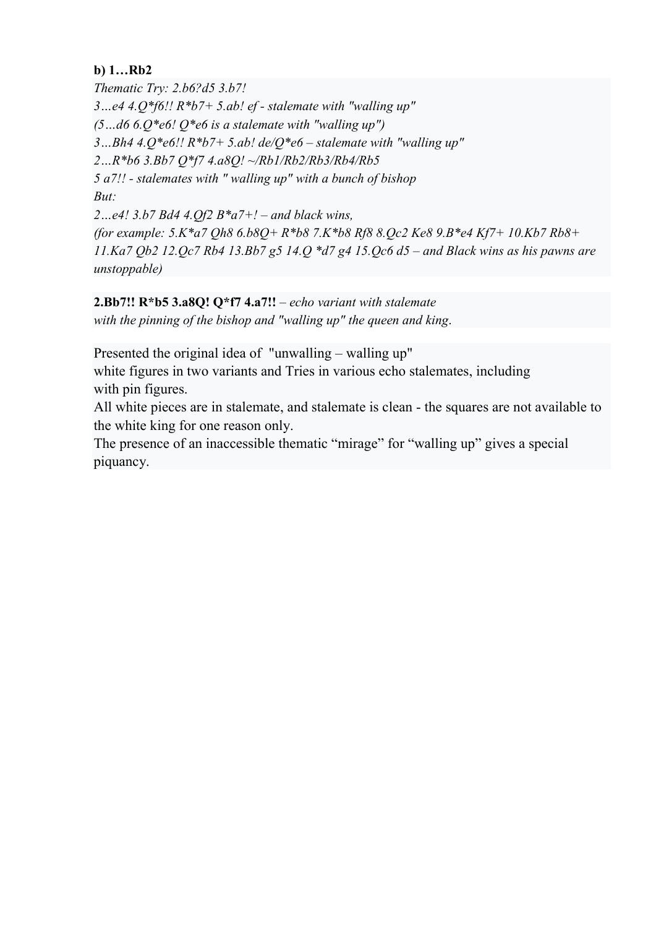### b) 1…Rb2

Thematic Try: 2.b6?d5 3.b7! 3...e4 4. $Q^*$ f6!!  $R^*$ b7+ 5.ab! ef - stalemate with "walling up"  $(5...d66.0*e6!0*e6$  is a stalemate with "walling up") 3...Bh4 4.0\*e6!!  $R*b7+5$ .ab! de/0\*e6 – stalemate with "walling up" 2…R\*b6 3.Bb7 Q\*f7 4.a8Q! ~/Rb1/Rb2/Rb3/Rb4/Rb5 5 a7!! - stalemates with " walling up" with a bunch of bishop But: 2...e4! 3.b7 Bd4 4.Qf2  $B^*a7+!$  – and black wins, (for example:  $5. K^* a7$  Qh8  $6. b8Q + R^* b8$  7.K $* b8$  Rf8 8.Qc2 Ke8 9.B $* e4$  Kf7+ 10.Kb7 Rb8+

11.Ka7 Qb2 12.Qc7 Rb4 13.Bb7 g5 14.Q \*d7 g4 15.Qc6 d5 - and Black wins as his pawns are unstoppable)

### 2.Bb7!!  $R * b5$  3.a8Q!  $Q * f7$  4.a7!! – echo variant with stalemate

with the pinning of the bishop and "walling up" the queen and king.

Presented the original idea of "unwalling – walling up"

white figures in two variants and Tries in various echo stalemates, including with pin figures.

All white pieces are in stalemate, and stalemate is clean - the squares are not available to the white king for one reason only.

The presence of an inaccessible thematic "mirage" for "walling up" gives a special piquancy.